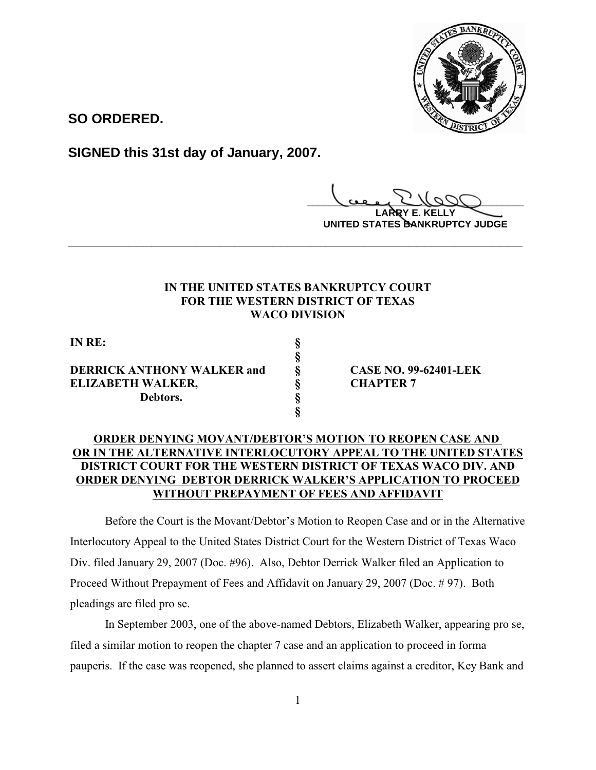

**SO ORDERED.**

**SIGNED this 31st day of January, 2007.**

**\_\_\_\_\_\_\_\_\_\_\_\_\_\_\_\_\_\_\_\_\_\_\_\_\_\_\_\_\_\_\_\_\_\_\_\_\_\_\_\_**

**LARRY E. KELLY UNITED STATES BANKRUPTCY JUDGE**

## **IN THE UNITED STATES BANKRUPTCY COURT FOR THE WESTERN DISTRICT OF TEXAS WACO DIVISION**

**\_\_\_\_\_\_\_\_\_\_\_\_\_\_\_\_\_\_\_\_\_\_\_\_\_\_\_\_\_\_\_\_\_\_\_\_\_\_\_\_\_\_\_\_\_\_\_\_\_\_\_\_\_\_\_\_\_\_\_\_**

**§**

**§**

**IN RE: §**

**DERRICK ANTHONY WALKER and § CASE NO. 99-62401-LEK ELIZABETH WALKER, § CHAPTER 7 Debtors. §**

## **ORDER DENYING MOVANT/DEBTOR'S MOTION TO REOPEN CASE AND OR IN THE ALTERNATIVE INTERLOCUTORY APPEAL TO THE UNITED STATES DISTRICT COURT FOR THE WESTERN DISTRICT OF TEXAS WACO DIV. AND ORDER DENYING DEBTOR DERRICK WALKER'S APPLICATION TO PROCEED WITHOUT PREPAYMENT OF FEES AND AFFIDAVIT**

Before the Court is the Movant/Debtor's Motion to Reopen Case and or in the Alternative Interlocutory Appeal to the United States District Court for the Western District of Texas Waco Div. filed January 29, 2007 (Doc. #96). Also, Debtor Derrick Walker filed an Application to Proceed Without Prepayment of Fees and Affidavit on January 29, 2007 (Doc. # 97). Both pleadings are filed pro se.

In September 2003, one of the above-named Debtors, Elizabeth Walker, appearing pro se, filed a similar motion to reopen the chapter 7 case and an application to proceed in forma pauperis. If the case was reopened, she planned to assert claims against a creditor, Key Bank and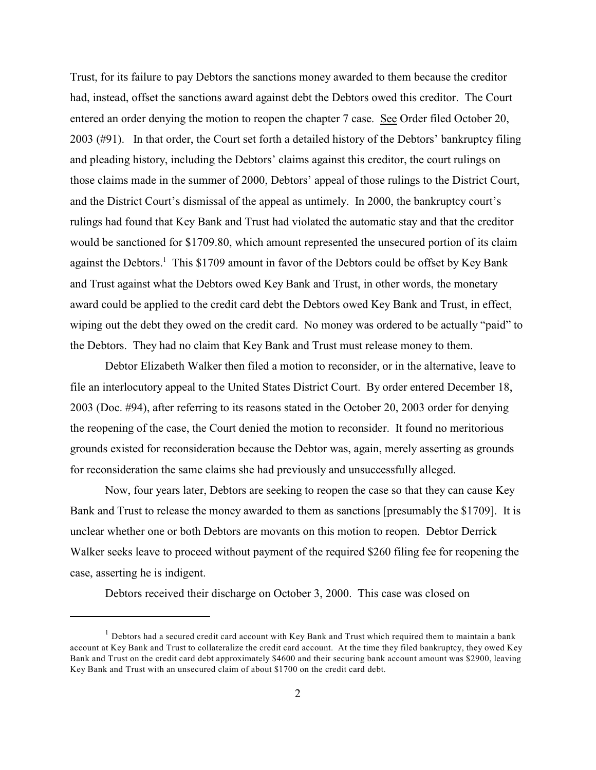Trust, for its failure to pay Debtors the sanctions money awarded to them because the creditor had, instead, offset the sanctions award against debt the Debtors owed this creditor. The Court entered an order denying the motion to reopen the chapter 7 case. See Order filed October 20, 2003 (#91). In that order, the Court set forth a detailed history of the Debtors' bankruptcy filing and pleading history, including the Debtors' claims against this creditor, the court rulings on those claims made in the summer of 2000, Debtors' appeal of those rulings to the District Court, and the District Court's dismissal of the appeal as untimely. In 2000, the bankruptcy court's rulings had found that Key Bank and Trust had violated the automatic stay and that the creditor would be sanctioned for \$1709.80, which amount represented the unsecured portion of its claim against the Debtors.<sup>1</sup> This \$1709 amount in favor of the Debtors could be offset by Key Bank and Trust against what the Debtors owed Key Bank and Trust, in other words, the monetary award could be applied to the credit card debt the Debtors owed Key Bank and Trust, in effect, wiping out the debt they owed on the credit card. No money was ordered to be actually "paid" to the Debtors. They had no claim that Key Bank and Trust must release money to them.

Debtor Elizabeth Walker then filed a motion to reconsider, or in the alternative, leave to file an interlocutory appeal to the United States District Court. By order entered December 18, 2003 (Doc. #94), after referring to its reasons stated in the October 20, 2003 order for denying the reopening of the case, the Court denied the motion to reconsider. It found no meritorious grounds existed for reconsideration because the Debtor was, again, merely asserting as grounds for reconsideration the same claims she had previously and unsuccessfully alleged.

Now, four years later, Debtors are seeking to reopen the case so that they can cause Key Bank and Trust to release the money awarded to them as sanctions [presumably the \$1709]. It is unclear whether one or both Debtors are movants on this motion to reopen. Debtor Derrick Walker seeks leave to proceed without payment of the required \$260 filing fee for reopening the case, asserting he is indigent.

Debtors received their discharge on October 3, 2000. This case was closed on

 $<sup>1</sup>$  Debtors had a secured credit card account with Key Bank and Trust which required them to maintain a bank</sup> account at Key Bank and Trust to collateralize the credit card account. At the time they filed bankruptcy, they owed Key Bank and Trust on the credit card debt approximately \$4600 and their securing bank account amount was \$2900, leaving Key Bank and Trust with an unsecured claim of about \$1700 on the credit card debt.